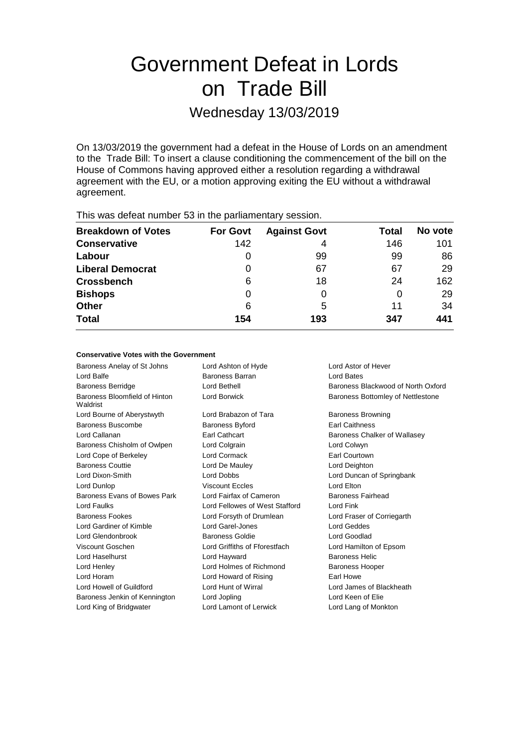# Government Defeat in Lords on Trade Bill

# Wednesday 13/03/2019

On 13/03/2019 the government had a defeat in the House of Lords on an amendment to the Trade Bill: To insert a clause conditioning the commencement of the bill on the House of Commons having approved either a resolution regarding a withdrawal agreement with the EU, or a motion approving exiting the EU without a withdrawal agreement.

| This mas actournantique of in the partial formal possession |                 |                     |       |         |  |
|-------------------------------------------------------------|-----------------|---------------------|-------|---------|--|
| <b>Breakdown of Votes</b>                                   | <b>For Govt</b> | <b>Against Govt</b> | Total | No vote |  |
| <b>Conservative</b>                                         | 142             | 4                   | 146   | 101     |  |
| Labour                                                      | 0               | 99                  | 99    | 86      |  |
| <b>Liberal Democrat</b>                                     | 0               | 67                  | 67    | 29      |  |
| <b>Crossbench</b>                                           | 6               | 18                  | 24    | 162     |  |
| <b>Bishops</b>                                              | 0               |                     | 0     | 29      |  |
| <b>Other</b>                                                | 6               | 5                   | 11    | 34      |  |
| <b>Total</b>                                                | 154             | 193                 | 347   | 441     |  |
|                                                             |                 |                     |       |         |  |

This was defeat number 53 in the parliamentary session.

## **Conservative Votes with the Government**

Baroness Anelay of St Johns Lord Ashton of Hyde Lord Astor of Hever Lord Balfe **Baroness Barran** Baroness Barran **Lord Bates** Baroness Berridge Lord Bethell Baroness Blackwood of North Oxford Baroness Bloomfield of Hinton Waldrist Lord Borwick **Baroness Bottomley of Nettlestone** Lord Bourne of Aberystwyth Lord Brabazon of Tara Baroness Browning Baroness Buscombe **Baroness Byford** Earl Caithness Lord Callanan Earl Cathcart Baroness Chalker of Wallasey Baroness Chisholm of Owlpen Lord Colgrain Lord Colwyn Lord Cope of Berkeley Lord Cormack Earl Courtown Baroness Couttie Lord De Mauley Lord Deighton Lord Dixon-Smith Lord Dobbs Lord Duncan of Springbank Lord Dunlop Viscount Eccles Lord Elton Baroness Evans of Bowes Park Lord Fairfax of Cameron Baroness Fairhead Lord Faulks Lord Fellowes of West Stafford Lord Fink Baroness Fookes Lord Forsyth of Drumlean Lord Fraser of Corriegarth Lord Gardiner of Kimble Lord Garel-Jones Lord Geddes Lord Glendonbrook Baroness Goldie Lord Goodlad Viscount Goschen Lord Griffiths of Fforestfach Lord Hamilton of Epsom Lord Haselhurst **Lord Hayward** Baroness Helic Lord Henley **Lord Holmes of Richmond** Baroness Hooper Lord Horam Lord Howard of Rising Earl Howe Lord Howell of Guildford Lord Hunt of Wirral Lord James of Blackheath Baroness Jenkin of Kennington Lord Jopling Communication Lord Keen of Elie Lord King of Bridgwater Lord Lamont of Lerwick Lord Lang of Monkton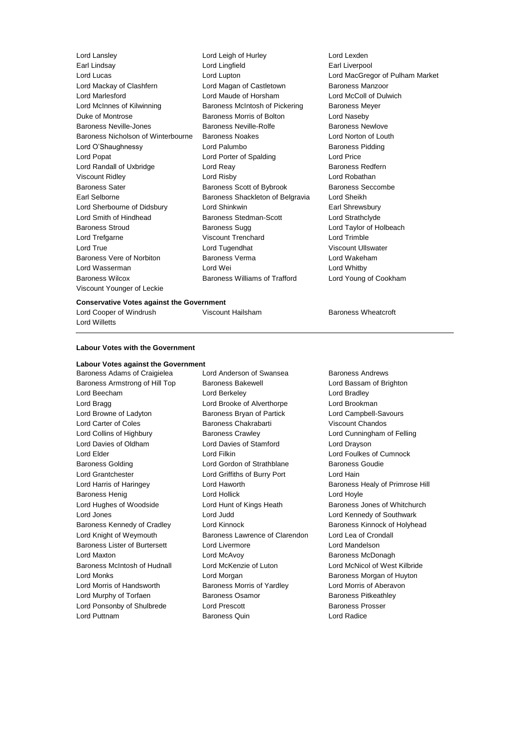Earl Lindsay Lord Lingfield Earl Liverpool Lord Lucas Lord Lupton Lord MacGregor of Pulham Market Lord Mackay of Clashfern **Lord Magan of Castletown** Baroness Manzoor Lord Marlesford Lord Maude of Horsham Lord McColl of Dulwich Lord McInnes of Kilwinning **Baroness McIntosh of Pickering** Baroness Meyer Duke of Montrose The Baroness Morris of Bolton The Lord Naseby Baroness Neville-Jones **Baroness Neville-Rolfe** Baroness Newlove Baroness Nicholson of Winterbourne Baroness Noakes Lord Norton of Louth Lord O'Shaughnessy **Lord Palumbo** Baroness Pidding Lord Popat Lord Porter of Spalding Lord Price Lord Randall of Uxbridge **Lord Reay Community** Baroness Redfern Viscount Ridley Lord Risby Lord Robathan Baroness Sater **Baroness Scott of Bybrook** Baroness Seccombe Earl Selborne **Baroness Shackleton of Belgravia** Lord Sheikh Lord Sherbourne of Didsbury Lord Shinkwin Earl Shrewsbury Lord Smith of Hindhead Baroness Stedman-Scott Lord Strathclyde Baroness Stroud **Baroness Sugg Communist Communist Communist Communist Communist Communist Communist Communist Communist Communist Communist Communist Communist Communist Communist Communist Communist Communist Communist C** Lord Trefgarne Viscount Trenchard Lord Trimble Lord True Lord Tugendhat Viscount Ullswater Baroness Vere of Norbiton Baroness Verma Lord Wakeham Lord Wasserman Lord Wei Lord Whitby Baroness Wilcox Baroness Williams of Trafford Lord Young of Cookham Viscount Younger of Leckie

Lord Lansley Lord Leigh of Hurley Lord Lexden

#### **Conservative Votes against the Government**

Lord Cooper of Windrush **Viscount Hailsham** Baroness Wheatcroft Lord Willetts

# **Labour Votes with the Government**

# **Labour Votes against the Government**

Baroness Armstrong of Hill Top Baroness Bakewell **Baroness Lord Bassam of Brighton** Lord Beecham Lord Berkeley Lord Bradley Lord Bragg Lord Brooke of Alverthorpe Lord Brookman Lord Browne of Ladyton **Baroness Bryan of Partick** Lord Campbell-Savours Lord Carter of Coles Baroness Chakrabarti Viscount Chandos Lord Collins of Highbury Baroness Crawley Lord Cunningham of Felling Lord Davies of Oldham Lord Davies of Stamford Lord Drayson Lord Elder Lord Filkin Lord Foulkes of Cumnock Baroness Golding **Lord Gordon of Strathblane** Baroness Goudie Lord Grantchester Lord Griffiths of Burry Port Lord Hain Lord Harris of Haringey Lord Haworth Baroness Healy of Primrose Hill Baroness Henig Lord Hollick Lord Hoyle Lord Hughes of Woodside **Lord Hunt of Kings Heath** Baroness Jones of Whitchurch Lord Jones **Lord Lord Lord Judd Lord Community Community** Lord Kennedy of Southwark Baroness Kennedy of Cradley **Lord Kinnock Baroness Kinnock by Arabya** Baroness Kinnock of Holyhead Lord Knight of Weymouth Baroness Lawrence of Clarendon Lord Lea of Crondall Baroness Lister of Burtersett Lord Livermore Lord Mandelson Lord Maxton Lord McAvoy Baroness McDonagh Baroness McIntosh of Hudnall Lord McKenzie of Luton Lord McNicol of West Kilbride Lord Monks Lord Morgan Baroness Morgan of Huyton Lord Morris of Handsworth Baroness Morris of Yardley Lord Morris of Aberavon Lord Murphy of Torfaen **Baroness Osamor** Baroness Pitkeathley Lord Ponsonby of Shulbrede Lord Prescott **Baroness Prosser** Lord Puttnam Baroness Quin Lord Radice

Baroness Adams of Craigielea Lord Anderson of Swansea Baroness Andrews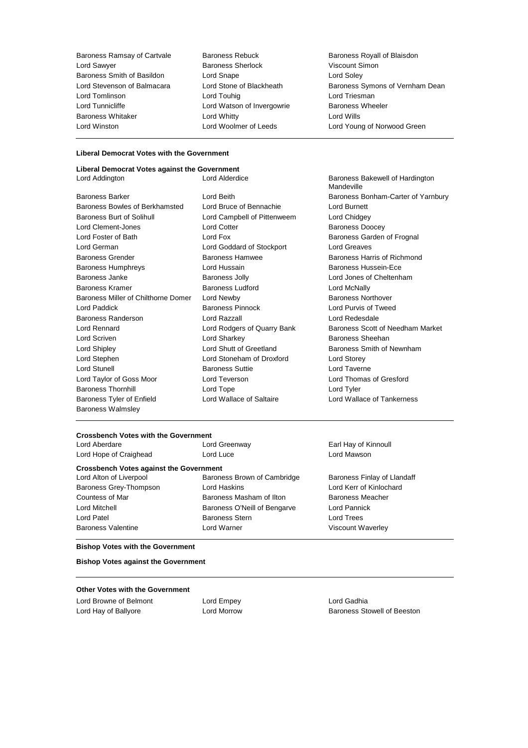Baroness Ramsay of Cartvale Baroness Rebuck Baroness Royall of Blaisdon<br>
Lord Sawver Baroness Sherlock Miscount Simon Baroness Smith of Basildon Lord Tomlinson Lord Touhig Lord Triesman Lord Tunnicliffe **Lord Watson of Invergowrie** Baroness Wheeler<br>
Baroness Whitaker **Lord Whitty** Lord Whitty **Conduing Lord Wills** Baroness Whitaker Lord Whitty Lord Wills

Examples Sherlock Viscount S<br>
Lord Snape<br>
Lord Solev

Lord Stevenson of Balmacara Lord Stone of Blackheath Baroness Symons of Vernham Dean Lord Woolmer of Leeds Lord Young of Norwood Green

# **Liberal Democrat Votes with the Government**

| Liberal Democrat Votes against the Government |                             |                            |
|-----------------------------------------------|-----------------------------|----------------------------|
| Lord Addington                                | Lord Alderdice              | Baroness Bal<br>Mandeville |
| <b>Baroness Barker</b>                        | Lord Beith                  | <b>Baroness Bor</b>        |
| Baroness Bowles of Berkhamsted                | Lord Bruce of Bennachie     | Lord Burnett               |
| Baroness Burt of Solihull                     | Lord Campbell of Pittenweem | Lord Chidgey               |
| Lord Clement-Jones                            | <b>Lord Cotter</b>          | <b>Baroness Dog</b>        |
| Lord Foster of Bath                           | Lord Fox                    | <b>Baroness Gar</b>        |
| Lord German                                   | Lord Goddard of Stockport   | <b>Lord Greaves</b>        |
| <b>Baroness Grender</b>                       | Baroness Hamwee             | <b>Baroness Har</b>        |
| <b>Baroness Humphreys</b>                     | Lord Hussain                | <b>Baroness Hus</b>        |
| Baroness Janke                                | <b>Baroness Jolly</b>       | Lord Jones of              |
| <b>Baroness Kramer</b>                        | <b>Baroness Ludford</b>     | Lord McNally               |
| Baroness Miller of Chilthorne Domer           | Lord Newby                  | <b>Baroness Nor</b>        |
| Lord Paddick                                  | <b>Baroness Pinnock</b>     | Lord Purvis of             |
| Baroness Randerson                            | Lord Razzall                | Lord Redesda               |
| Lord Rennard                                  | Lord Rodgers of Quarry Bank | <b>Baroness Sco</b>        |
| Lord Scriven                                  | Lord Sharkey                | <b>Baroness She</b>        |
| Lord Shipley                                  | Lord Shutt of Greetland     | <b>Baroness Sm</b>         |
| Lord Stephen                                  | Lord Stoneham of Droxford   | Lord Storey                |
| <b>Lord Stunell</b>                           | <b>Baroness Suttie</b>      | <b>Lord Taverne</b>        |
| Lord Taylor of Goss Moor                      | Lord Teverson               | Lord Thomas                |
| <b>Baroness Thornhill</b>                     | Lord Tope                   | Lord Tyler                 |
| Baroness Tyler of Enfield                     | Lord Wallace of Saltaire    | Lord Wallace               |
| <b>Baroness Walmsley</b>                      |                             |                            |

roness Bakewell of Hardington Mandeville roness Bonham-Carter of Yarnbury rd Chidgey roness Doocey roness Garden of Frognal rd Greaves roness Harris of Richmond roness Hussein-Ece rd Jones of Cheltenham roness Northover rd Purvis of Tweed rd Redesdale roness Scott of Needham Market roness Sheehan roness Smith of Newnham rd Taverne rd Thomas of Gresford rd Wallace of Tankerness

# **Crossbench Votes with the Government**

| Lord Aberdare                                  | Lord Greenway                | Earl Hay of Kinnoull        |
|------------------------------------------------|------------------------------|-----------------------------|
| Lord Hope of Craighead                         | Lord Luce<br>Lord Mawson     |                             |
| <b>Crossbench Votes against the Government</b> |                              |                             |
| Lord Alton of Liverpool                        | Baroness Brown of Cambridge  | Baroness Finlay of Llandaff |
| Baroness Grey-Thompson                         | Lord Haskins                 | Lord Kerr of Kinlochard     |
| Countess of Mar                                | Baroness Masham of Ilton     | <b>Baroness Meacher</b>     |
| Lord Mitchell                                  | Baroness O'Neill of Bengarve | Lord Pannick                |

Lord Patel Baroness Stern Lord Trees Baroness Valentine Lord Warner Viscount Waverley

**Bishop Votes with the Government**

**Bishop Votes against the Government**

## **Other Votes with the Government**

Lord Browne of Belmont Lord Empey Lord Gadhia

Lord Hay of Ballyore Lord Morrow Baroness Stowell of Beeston